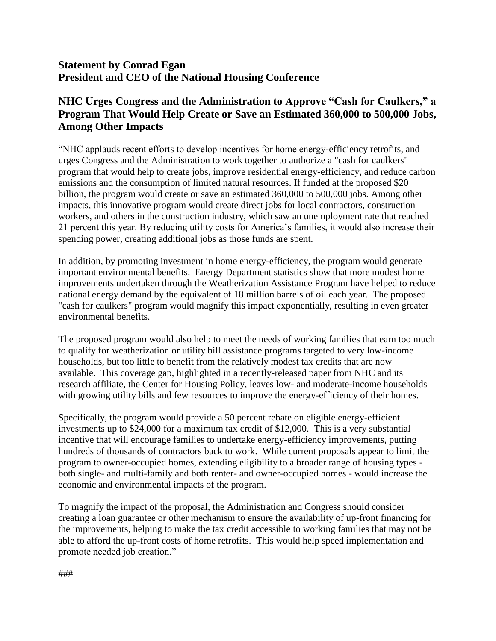## **Statement by Conrad Egan President and CEO of the National Housing Conference**

## **NHC Urges Congress and the Administration to Approve "Cash for Caulkers," a Program That Would Help Create or Save an Estimated 360,000 to 500,000 Jobs, Among Other Impacts**

"NHC applauds recent efforts to develop incentives for home energy-efficiency retrofits, and urges Congress and the Administration to work together to authorize a "cash for caulkers" program that would help to create jobs, improve residential energy-efficiency, and reduce carbon emissions and the consumption of limited natural resources. If funded at the proposed \$20 billion, the program would create or save an estimated 360,000 to 500,000 jobs. Among other impacts, this innovative program would create direct jobs for local contractors, construction workers, and others in the construction industry, which saw an unemployment rate that reached 21 percent this year. By reducing utility costs for America's families, it would also increase their spending power, creating additional jobs as those funds are spent.

In addition, by promoting investment in home energy-efficiency, the program would generate important environmental benefits. Energy Department statistics show that more modest home improvements undertaken through the Weatherization Assistance Program have helped to reduce national energy demand by the equivalent of 18 million barrels of oil each year. The proposed "cash for caulkers" program would magnify this impact exponentially, resulting in even greater environmental benefits.

The proposed program would also help to meet the needs of working families that earn too much to qualify for weatherization or utility bill assistance programs targeted to very low-income households, but too little to benefit from the relatively modest tax credits that are now available. This coverage gap, highlighted in a recently-released paper from NHC and its research affiliate, the Center for Housing Policy, leaves low- and moderate-income households with growing utility bills and few resources to improve the energy-efficiency of their homes.

Specifically, the program would provide a 50 percent rebate on eligible energy-efficient investments up to \$24,000 for a maximum tax credit of \$12,000. This is a very substantial incentive that will encourage families to undertake energy-efficiency improvements, putting hundreds of thousands of contractors back to work. While current proposals appear to limit the program to owner-occupied homes, extending eligibility to a broader range of housing types both single- and multi-family and both renter- and owner-occupied homes - would increase the economic and environmental impacts of the program.

To magnify the impact of the proposal, the Administration and Congress should consider creating a loan guarantee or other mechanism to ensure the availability of up-front financing for the improvements, helping to make the tax credit accessible to working families that may not be able to afford the up-front costs of home retrofits. This would help speed implementation and promote needed job creation."